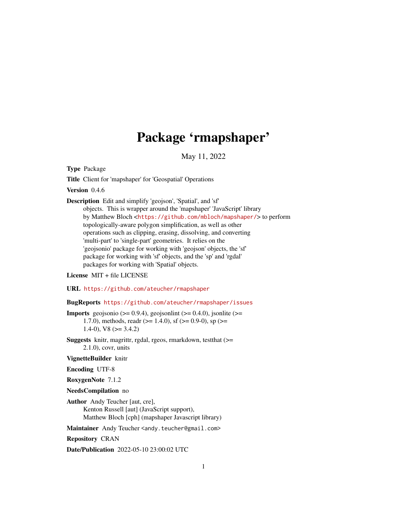# Package 'rmapshaper'

May 11, 2022

Type Package

Title Client for 'mapshaper' for 'Geospatial' Operations

Version 0.4.6

Description Edit and simplify 'geojson', 'Spatial', and 'sf' objects. This is wrapper around the 'mapshaper' 'JavaScript' library by Matthew Bloch <<https://github.com/mbloch/mapshaper/>> to perform topologically-aware polygon simplification, as well as other operations such as clipping, erasing, dissolving, and converting 'multi-part' to 'single-part' geometries. It relies on the 'geojsonio' package for working with 'geojson' objects, the 'sf' package for working with 'sf' objects, and the 'sp' and 'rgdal' packages for working with 'Spatial' objects.

#### License MIT + file LICENSE

URL <https://github.com/ateucher/rmapshaper>

#### BugReports <https://github.com/ateucher/rmapshaper/issues>

**Imports** geojsonio ( $> = 0.9.4$ ), geojsonlint ( $> = 0.4.0$ ), jsonlite ( $> =$ 1.7.0), methods, readr ( $>= 1.4.0$ ), sf ( $>= 0.9-0$ ), sp ( $>=$  $1.4-0$ , V8 ( $>= 3.4.2$ )

Suggests knitr, magrittr, rgdal, rgeos, rmarkdown, testthat (>= 2.1.0), covr, units

VignetteBuilder knitr

Encoding UTF-8

RoxygenNote 7.1.2

NeedsCompilation no

Author Andy Teucher [aut, cre], Kenton Russell [aut] (JavaScript support), Matthew Bloch [cph] (mapshaper Javascript library)

Maintainer Andy Teucher <andy.teucher@gmail.com>

Repository CRAN

Date/Publication 2022-05-10 23:00:02 UTC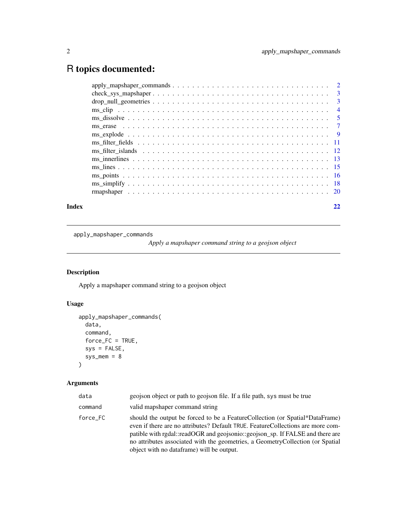## <span id="page-1-0"></span>R topics documented:

| Index |                                                                                                                | 22 |
|-------|----------------------------------------------------------------------------------------------------------------|----|
|       |                                                                                                                |    |
|       |                                                                                                                |    |
|       |                                                                                                                |    |
|       |                                                                                                                |    |
|       |                                                                                                                |    |
|       | ms filter islands $\ldots \ldots \ldots \ldots \ldots \ldots \ldots \ldots \ldots \ldots \ldots \ldots \ldots$ |    |
|       |                                                                                                                |    |
|       |                                                                                                                |    |
|       |                                                                                                                |    |
|       |                                                                                                                |    |
|       |                                                                                                                |    |
|       |                                                                                                                |    |
|       |                                                                                                                |    |
|       |                                                                                                                |    |

apply\_mapshaper\_commands

*Apply a mapshaper command string to a geojson object*

#### Description

Apply a mapshaper command string to a geojson object

#### Usage

```
apply_mapshaper_commands(
 data,
 command,
 force_FC = TRUE,sys = FALSE,
 sys\_mem = 8)
```
#### Arguments

| data     | geojson object or path to geojson file. If a file path, sys must be true                                                                                                                                                                                                                                                                                                          |
|----------|-----------------------------------------------------------------------------------------------------------------------------------------------------------------------------------------------------------------------------------------------------------------------------------------------------------------------------------------------------------------------------------|
| command  | valid mapshaper command string                                                                                                                                                                                                                                                                                                                                                    |
| force FC | should the output be forced to be a FeatureCollection (or Spatial*DataFrame)<br>even if there are no attributes? Default TRUE. Feature Collections are more com-<br>patible with rgdal::readOGR and geojsonio::geojson_sp. If FALSE and there are<br>no attributes associated with the geometries, a Geometry Collection (or Spatial<br>object with no dataframe) will be output. |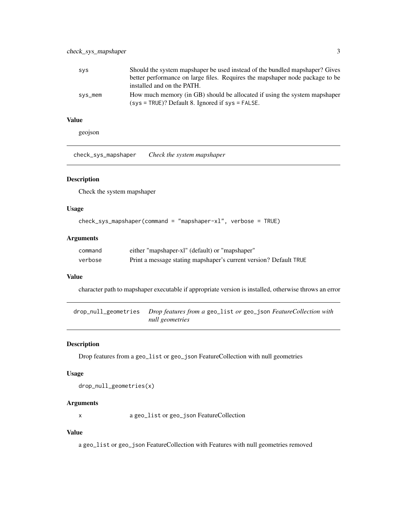<span id="page-2-0"></span>

| <b>SVS</b> | Should the system mapshaper be used instead of the bundled mapshaper? Gives  |
|------------|------------------------------------------------------------------------------|
|            | better performance on large files. Requires the mapshaper node package to be |
|            | installed and on the PATH.                                                   |
| sys_mem    | How much memory (in GB) should be allocated if using the system mapshaper    |
|            | $(sys = TRUE)$ ? Default 8. Ignored if $sys = FALSE$ .                       |

#### Value

geojson

check\_sys\_mapshaper *Check the system mapshaper*

#### Description

Check the system mapshaper

#### Usage

```
check_sys_mapshaper(command = "mapshaper-xl", verbose = TRUE)
```
#### Arguments

| command | either "mapshaper-xl" (default) or "mapshaper"                    |
|---------|-------------------------------------------------------------------|
| verbose | Print a message stating mapshaper's current version? Default TRUE |

#### Value

character path to mapshaper executable if appropriate version is installed, otherwise throws an error

drop\_null\_geometries *Drop features from a* geo\_list *or* geo\_json *FeatureCollection with null geometries*

#### Description

Drop features from a geo\_list or geo\_json FeatureCollection with null geometries

#### Usage

```
drop_null_geometries(x)
```
#### Arguments

x a geo\_list or geo\_json FeatureCollection

#### Value

a geo\_list or geo\_json FeatureCollection with Features with null geometries removed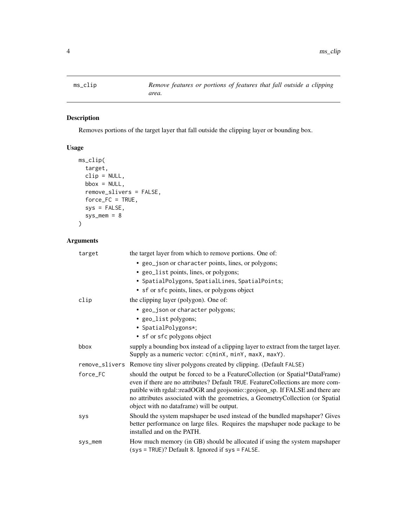<span id="page-3-1"></span><span id="page-3-0"></span>

#### Description

Removes portions of the target layer that fall outside the clipping layer or bounding box.

#### Usage

```
ms_clip(
  target,
 clip = NULL,
 bbox = NULL,remove_slivers = FALSE,
 force_FC = TRUE,
 sys = FALSE,sys_mean = 8)
```
#### Arguments

| target     | the target layer from which to remove portions. One of:                                                                                                                                                                                                                                                                                                                          |
|------------|----------------------------------------------------------------------------------------------------------------------------------------------------------------------------------------------------------------------------------------------------------------------------------------------------------------------------------------------------------------------------------|
|            | • geo_json or character points, lines, or polygons;                                                                                                                                                                                                                                                                                                                              |
|            | • geo_list points, lines, or polygons;                                                                                                                                                                                                                                                                                                                                           |
|            | • SpatialPolygons, SpatialLines, SpatialPoints;                                                                                                                                                                                                                                                                                                                                  |
|            | • sf or sfc points, lines, or polygons object                                                                                                                                                                                                                                                                                                                                    |
| clip       | the clipping layer (polygon). One of:                                                                                                                                                                                                                                                                                                                                            |
|            | • geo_json or character polygons;                                                                                                                                                                                                                                                                                                                                                |
|            | • geo_list polygons;                                                                                                                                                                                                                                                                                                                                                             |
|            | • SpatialPolygons*;                                                                                                                                                                                                                                                                                                                                                              |
|            | • sf or sfc polygons object                                                                                                                                                                                                                                                                                                                                                      |
| bbox       | supply a bounding box instead of a clipping layer to extract from the target layer.                                                                                                                                                                                                                                                                                              |
|            | Supply as a numeric vector: c(minX, minY, maxX, maxY).                                                                                                                                                                                                                                                                                                                           |
|            | remove_slivers Remove tiny sliver polygons created by clipping. (Default FALSE)                                                                                                                                                                                                                                                                                                  |
| force_FC   | should the output be forced to be a FeatureCollection (or Spatial*DataFrame)<br>even if there are no attributes? Default TRUE. Feature Collections are more com-<br>patible with rgdal::readOGR and geojsonio::geojson_sp. If FALSE and there are<br>no attributes associated with the geometries, a GeometryCollection (or Spatial<br>object with no dataframe) will be output. |
| <b>SVS</b> | Should the system mapshaper be used instead of the bundled mapshaper? Gives<br>better performance on large files. Requires the mapshaper node package to be<br>installed and on the PATH.                                                                                                                                                                                        |
| sys_mem    | How much memory (in GB) should be allocated if using the system mapshaper<br>(sys = TRUE)? Default 8. Ignored if sys = FALSE.                                                                                                                                                                                                                                                    |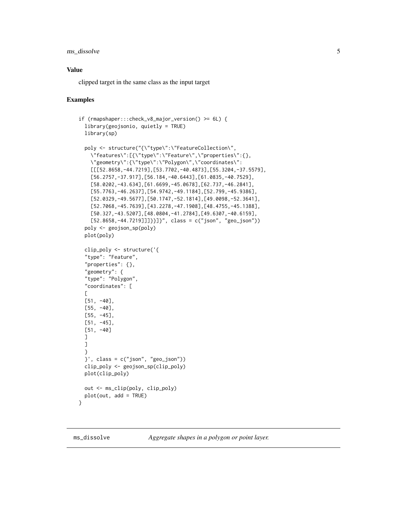<span id="page-4-0"></span>ms\_dissolve 5

#### Value

clipped target in the same class as the input target

#### Examples

```
if (rmapshaper:::check_v8_major_version() >= 6L) {
 library(geojsonio, quietly = TRUE)
 library(sp)
 poly <- structure("{\"type\":\"FeatureCollection\",
   \"features\":[{\"type\":\"Feature\",\"properties\":{},
   \"geometry\":{\"type\":\"Polygon\",\"coordinates\":
    [[[52.8658,-44.7219],[53.7702,-40.4873],[55.3204,-37.5579],
    [56.2757,-37.917],[56.184,-40.6443],[61.0835,-40.7529],
   [58.0202,-43.634],[61.6699,-45.0678],[62.737,-46.2841],
   [55.7763,-46.2637],[54.9742,-49.1184],[52.799,-45.9386],
   [52.0329,-49.5677],[50.1747,-52.1814],[49.0098,-52.3641],
   [52.7068,-45.7639],[43.2278,-47.1908],[48.4755,-45.1388],
   [50.327,-43.5207],[48.0804,-41.2784],[49.6307,-40.6159],
   [52.8658,-44.7219]]]}}]}", class = c("json", "geo_json"))
 poly <- geojson_sp(poly)
 plot(poly)
 clip_poly <- structure('{
  "type": "Feature",
  "properties": {},
  "geometry": {
  "type": "Polygon",
  "coordinates": [
 \Gamma[51, -40],
 [55, -40],[55, -45],
 [51, -45],
 [51, -40]
 ]
 ]
 }
 }', class = c("json", "geo_json"))
 clip_poly <- geojson_sp(clip_poly)
 plot(clip_poly)
 out <- ms_clip(poly, clip_poly)
 plot(out, add = TRUE)
}
```
<span id="page-4-1"></span>ms\_dissolve *Aggregate shapes in a polygon or point layer.*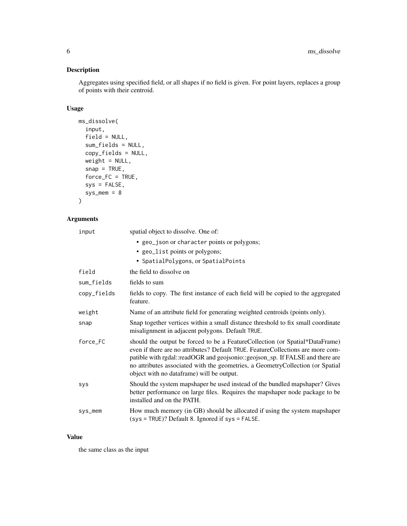#### Description

Aggregates using specified field, or all shapes if no field is given. For point layers, replaces a group of points with their centroid.

#### Usage

```
ms_dissolve(
  input,
  field = NULL,
 sum_fields = NULL,
 copy_fields = NULL,
 weight = NULL,
  snap = TRUE,force_FC = TRUE,sys = FALSE,sys_mean = 8)
```
### Arguments

| input       | spatial object to dissolve. One of:                                                                                                                                                                                                                                                                                                                                              |
|-------------|----------------------------------------------------------------------------------------------------------------------------------------------------------------------------------------------------------------------------------------------------------------------------------------------------------------------------------------------------------------------------------|
|             | • geo_json or character points or polygons;                                                                                                                                                                                                                                                                                                                                      |
|             | • geo_list points or polygons;<br>• SpatialPolygons, or SpatialPoints                                                                                                                                                                                                                                                                                                            |
| field       | the field to dissolve on                                                                                                                                                                                                                                                                                                                                                         |
| sum_fields  | fields to sum                                                                                                                                                                                                                                                                                                                                                                    |
| copy_fields | fields to copy. The first instance of each field will be copied to the aggregated<br>feature.                                                                                                                                                                                                                                                                                    |
| weight      | Name of an attribute field for generating weighted centroids (points only).                                                                                                                                                                                                                                                                                                      |
| snap        | Snap together vertices within a small distance threshold to fix small coordinate<br>misalignment in adjacent polygons. Default TRUE.                                                                                                                                                                                                                                             |
| force_FC    | should the output be forced to be a FeatureCollection (or Spatial*DataFrame)<br>even if there are no attributes? Default TRUE. Feature Collections are more com-<br>patible with rgdal::readOGR and geojsonio::geojson_sp. If FALSE and there are<br>no attributes associated with the geometries, a GeometryCollection (or Spatial<br>object with no dataframe) will be output. |
| <b>SYS</b>  | Should the system mapshaper be used instead of the bundled mapshaper? Gives<br>better performance on large files. Requires the mapshaper node package to be<br>installed and on the PATH.                                                                                                                                                                                        |
| sys_mem     | How much memory (in GB) should be allocated if using the system mapshaper<br>(sys = TRUE)? Default 8. Ignored if sys = FALSE.                                                                                                                                                                                                                                                    |

#### Value

the same class as the input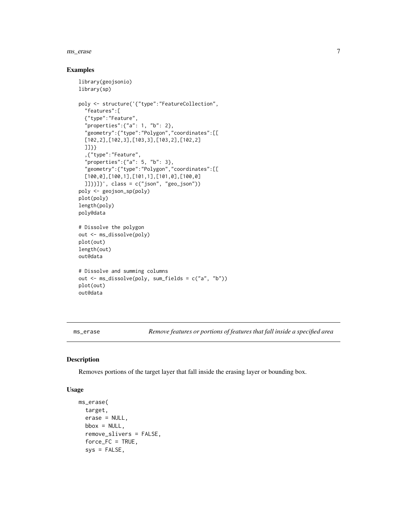#### <span id="page-6-0"></span>ms\_erase 7

#### Examples

```
library(geojsonio)
library(sp)
poly <- structure('{"type":"FeatureCollection",
  "features":[
  {"type":"Feature",
  "properties":{"a": 1, "b": 2},
  "geometry":{"type":"Polygon","coordinates":[[
  [102,2],[102,3],[103,3],[103,2],[102,2]
  ]]}}
  ,{"type":"Feature",
  "properties":{"a": 5, "b": 3},
  "geometry":{"type":"Polygon","coordinates":[[
  [100,0],[100,1],[101,1],[101,0],[100,0]
  ]]}}]}', class = c("json", "geo_json"))
poly <- geojson_sp(poly)
plot(poly)
length(poly)
poly@data
# Dissolve the polygon
out <- ms_dissolve(poly)
plot(out)
length(out)
out@data
# Dissolve and summing columns
out <- ms_dissolve(poly, sum_fields = c("a", "b"))
plot(out)
out@data
```
<span id="page-6-1"></span>ms\_erase *Remove features or portions of features that fall inside a specified area*

#### Description

Removes portions of the target layer that fall inside the erasing layer or bounding box.

#### Usage

```
ms_erase(
  target,
  erase = NULL,
 bbox = NULL,
  remove_slivers = FALSE,
  force\_FC = TRUE,sys = FALSE,
```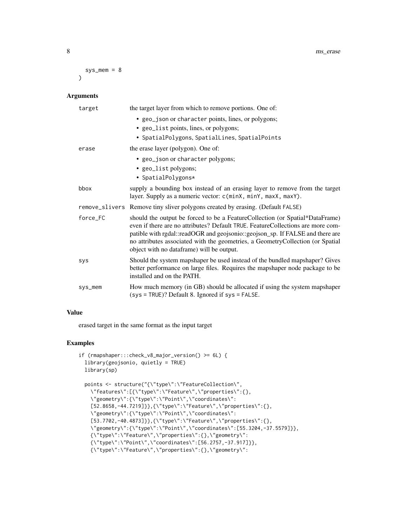```
sys_mean = 8\lambda
```
#### Arguments

| target   | the target layer from which to remove portions. One of:                                                                                                                                                                                                                                                                                                                          |
|----------|----------------------------------------------------------------------------------------------------------------------------------------------------------------------------------------------------------------------------------------------------------------------------------------------------------------------------------------------------------------------------------|
|          | • geo_json or character points, lines, or polygons;                                                                                                                                                                                                                                                                                                                              |
|          | • geo_list points, lines, or polygons;                                                                                                                                                                                                                                                                                                                                           |
|          | • SpatialPolygons, SpatialLines, SpatialPoints                                                                                                                                                                                                                                                                                                                                   |
| erase    | the erase layer (polygon). One of:                                                                                                                                                                                                                                                                                                                                               |
|          | • geo_json or character polygons;                                                                                                                                                                                                                                                                                                                                                |
|          | • geo_list polygons;                                                                                                                                                                                                                                                                                                                                                             |
|          | • SpatialPolygons*                                                                                                                                                                                                                                                                                                                                                               |
| bbox     | supply a bounding box instead of an erasing layer to remove from the target<br>layer. Supply as a numeric vector: c(minX, minY, maxX, maxY).                                                                                                                                                                                                                                     |
|          | remove_slivers Remove tiny sliver polygons created by erasing. (Default FALSE)                                                                                                                                                                                                                                                                                                   |
| force_FC | should the output be forced to be a FeatureCollection (or Spatial*DataFrame)<br>even if there are no attributes? Default TRUE. Feature Collections are more com-<br>patible with rgdal::readOGR and geojsonio::geojson_sp. If FALSE and there are<br>no attributes associated with the geometries, a GeometryCollection (or Spatial<br>object with no dataframe) will be output. |
| sys      | Should the system mapshaper be used instead of the bundled mapshaper? Gives<br>better performance on large files. Requires the mapshaper node package to be<br>installed and on the PATH.                                                                                                                                                                                        |
| sys_mem  | How much memory (in GB) should be allocated if using the system mapshaper<br>(sys = TRUE)? Default 8. Ignored if sys = FALSE.                                                                                                                                                                                                                                                    |

#### Value

erased target in the same format as the input target

```
if (rmapshaper:::check_v8_major_version() >= 6L) {
 library(geojsonio, quietly = TRUE)
 library(sp)
 points <- structure("{\"type\":\"FeatureCollection\",
   \"features\":[{\"type\":\"Feature\",\"properties\":{},
   \"geometry\":{\"type\":\"Point\",\"coordinates\":
    [52.8658, -44.7219]},{\"type\":\"Feature\",\"properties\":{},
    \"geometry\":{\"type\":\"Point\",\"coordinates\":
    [53.7702,-40.4873]}},{\"type\":\"Feature\",\"properties\":{},
   \"geometry\":{\"type\":\"Point\",\"coordinates\":[55.3204,-37.5579]}},
    {\"type\":\"Feature\",\"properties\":{},\"geometry\":
    {\"type\":\"Point\",\"coordinates\":[56.2757,-37.917]}},
   {\"type\":\"Feature\",\"properties\":{},\"geometry\":
```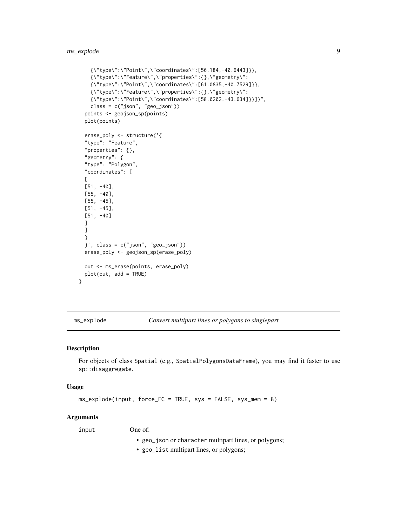```
{\"type\":\"Point\",\"coordinates\":[56.184,-40.6443]}},
  {\"type\":\"Feature\",\"properties\":{},\"geometry\":
  {\"type\":\"Point\",\"coordinates\":[61.0835,-40.7529]}},
  {\"type\":\"Feature\",\"properties\":{},\"geometry\":
  {\"type\":\"Point\",\"coordinates\":[58.0202,-43.634]}}]}",
  class = c("json", "geo_json"))
points <- geojson_sp(points)
plot(points)
erase_poly <- structure('{
"type": "Feature",
"properties": {},
"geometry": {
"type": "Polygon",
"coordinates": [
\Gamma[51, -40],
[55, -40],
[55, -45],
[51, -45],
[51, -40]
]
]
}
}', class = c("json", "geo_json"))
erase_poly <- geojson_sp(erase_poly)
out <- ms_erase(points, erase_poly)
plot(out, add = TRUE)
```
<span id="page-8-1"></span>ms\_explode *Convert multipart lines or polygons to singlepart*

#### Description

}

For objects of class Spatial (e.g., SpatialPolygonsDataFrame), you may find it faster to use sp::disaggregate.

#### Usage

ms\_explode(input, force\_FC = TRUE, sys = FALSE, sys\_mem = 8)

#### **Arguments**

input One of:

- geo\_json or character multipart lines, or polygons;
- geo\_list multipart lines, or polygons;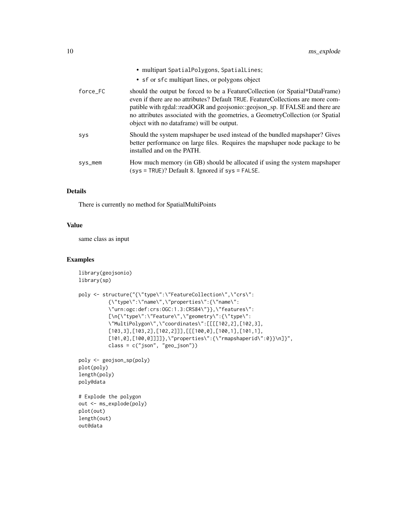|            | • multipart SpatialPolygons, SpatialLines;<br>• sf or sf c multipart lines, or polygons object                                                                                                                                                                                                                                                                                    |
|------------|-----------------------------------------------------------------------------------------------------------------------------------------------------------------------------------------------------------------------------------------------------------------------------------------------------------------------------------------------------------------------------------|
| force_FC   | should the output be forced to be a Feature Collection (or Spatial*DataFrame)<br>even if there are no attributes? Default TRUE. Feature Collections are more com-<br>patible with rgdal::readOGR and geojsonio::geojson_sp. If FALSE and there are<br>no attributes associated with the geometries, a GeometryCollection (or Spatial<br>object with no dataframe) will be output. |
| <b>SYS</b> | Should the system mapshaper be used instead of the bundled mapshaper? Gives<br>better performance on large files. Requires the mapshaper node package to be<br>installed and on the PATH.                                                                                                                                                                                         |
| sys_mem    | How much memory (in GB) should be allocated if using the system mapshaper<br>(sys = TRUE)? Default 8. Ignored if sys = FALSE.                                                                                                                                                                                                                                                     |

#### Details

There is currently no method for SpatialMultiPoints

#### Value

same class as input

```
library(geojsonio)
library(sp)
poly <- structure("{\"type\":\"FeatureCollection\",\"crs\":
          {\"type\":\"name\",\"properties\":{\"name\":
          \"urn:ogc:def:crs:OGC:1.3:CRS84\"}},\"features\":
          [\n{\"type\":\"Feature\",\"geometry\":{\"type\":
          \"MultiPolygon\",\"coordinates\":[[[[102,2],[102,3],
          [103,3],[103,2],[102,2]]],[[[100,0],[100,1],[101,1],
          [101,0],[100,0]]]]},\"properties\":{\"rmapshaperid\":0}}\n]}",
         class = c("json", "geo_json"))
poly <- geojson_sp(poly)
plot(poly)
length(poly)
poly@data
# Explode the polygon
out <- ms_explode(poly)
plot(out)
length(out)
out@data
```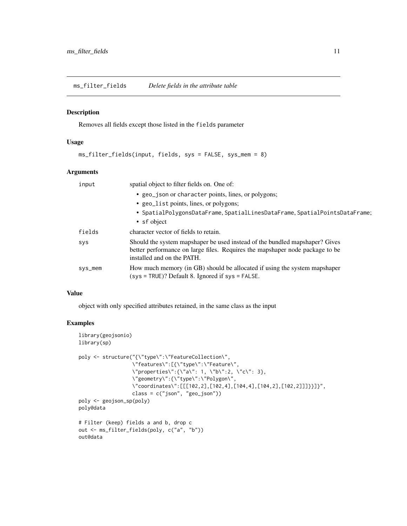<span id="page-10-1"></span><span id="page-10-0"></span>ms\_filter\_fields *Delete fields in the attribute table*

#### Description

Removes all fields except those listed in the fields parameter

#### Usage

```
ms_filter_fields(input, fields, sys = FALSE, sys_mem = 8)
```
#### Arguments

| input      | spatial object to filter fields on. One of:                                                                                                                                               |
|------------|-------------------------------------------------------------------------------------------------------------------------------------------------------------------------------------------|
|            | • geo_json or character points, lines, or polygons;<br>• geo_list points, lines, or polygons;<br>• SpatialPolygonsDataFrame, SpatialLinesDataFrame, SpatialPointsDataFrame;               |
|            | • sf object                                                                                                                                                                               |
| fields     | character vector of fields to retain.                                                                                                                                                     |
| <b>SYS</b> | Should the system mapshaper be used instead of the bundled mapshaper? Gives<br>better performance on large files. Requires the mapshaper node package to be<br>installed and on the PATH. |
| sys_mem    | How much memory (in GB) should be allocated if using the system mapshaper<br>$(sys = TRUE)$ ? Default 8. Ignored if sys = FALSE.                                                          |

#### Value

object with only specified attributes retained, in the same class as the input

```
library(geojsonio)
library(sp)
poly <- structure("{\"type\":\"FeatureCollection\",
                   \"features\":[{\"type\":\"Feature\",
                   \verb|v"properties\":\{\verb|v"a\r": 1, \verb|v"b\r":2, \verb|v"c\r": 3\},\"geometry\":{\"type\":\"Polygon\",
                   \"coordinates\":[[[102,2],[102,4],[104,4],[104,2],[102,2]]]}}]}",
                   class = c("json", "geo_json"))
poly <- geojson_sp(poly)
poly@data
# Filter (keep) fields a and b, drop c
out <- ms_filter_fields(poly, c("a", "b"))
out@data
```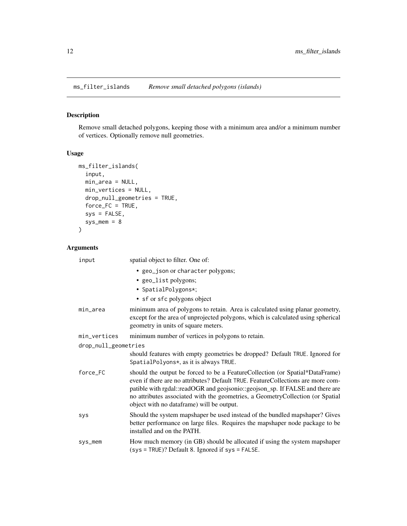<span id="page-11-1"></span><span id="page-11-0"></span>

#### Description

Remove small detached polygons, keeping those with a minimum area and/or a minimum number of vertices. Optionally remove null geometries.

#### Usage

```
ms_filter_islands(
  input,
  min_area = NULL,
  min_vertices = NULL,
  drop_null_geometries = TRUE,
  force_FC = TRUE,
  sys = FALSE,sys_mean = 8\mathcal{L}
```
#### Arguments

| input                | spatial object to filter. One of:                                                                                                                                                                                                                                                                                                                                                 |
|----------------------|-----------------------------------------------------------------------------------------------------------------------------------------------------------------------------------------------------------------------------------------------------------------------------------------------------------------------------------------------------------------------------------|
|                      | • geo_json or character polygons;<br>• geo_list polygons;<br>• SpatialPolygons*;<br>• sf or sfc polygons object                                                                                                                                                                                                                                                                   |
| min_area             | minimum area of polygons to retain. Area is calculated using planar geometry,<br>except for the area of unprojected polygons, which is calculated using spherical<br>geometry in units of square meters.                                                                                                                                                                          |
| min_vertices         | minimum number of vertices in polygons to retain.                                                                                                                                                                                                                                                                                                                                 |
| drop_null_geometries |                                                                                                                                                                                                                                                                                                                                                                                   |
|                      | should features with empty geometries be dropped? Default TRUE. Ignored for<br>SpatialPolyons*, as it is always TRUE.                                                                                                                                                                                                                                                             |
| force_FC             | should the output be forced to be a Feature Collection (or Spatial*DataFrame)<br>even if there are no attributes? Default TRUE. Feature Collections are more com-<br>patible with rgdal::readOGR and geojsonio::geojson_sp. If FALSE and there are<br>no attributes associated with the geometries, a GeometryCollection (or Spatial<br>object with no dataframe) will be output. |
| sys                  | Should the system mapshaper be used instead of the bundled mapshaper? Gives<br>better performance on large files. Requires the mapshaper node package to be<br>installed and on the PATH.                                                                                                                                                                                         |
| sys_mem              | How much memory (in GB) should be allocated if using the system mapshaper<br>(sys = TRUE)? Default 8. Ignored if sys = FALSE.                                                                                                                                                                                                                                                     |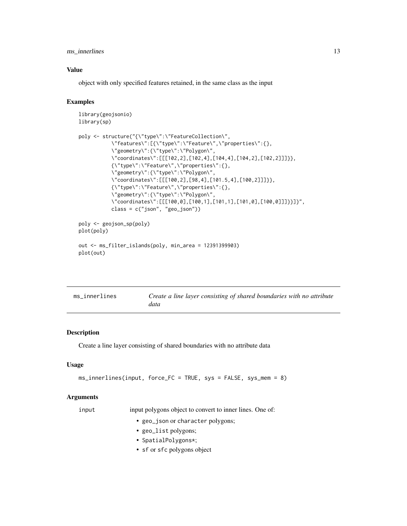#### <span id="page-12-0"></span>ms\_innerlines 13

#### Value

object with only specified features retained, in the same class as the input

#### Examples

```
library(geojsonio)
library(sp)
poly <- structure("{\"type\":\"FeatureCollection\",
           \"features\":[{\"type\":\"Feature\",\"properties\":{},
           \"geometry\":{\"type\":\"Polygon\",
           \"coordinates\":[[[102,2],[102,4],[104,4],[104,2],[102,2]]]}},
           {\"type\":\"Feature\",\"properties\":{},
           \"geometry\":{\"type\":\"Polygon\",
           \"coordinates\":[[[100,2],[98,4],[101.5,4],[100,2]]]}},
           {\"type\":\"Feature\",\"properties\":{},
           \"geometry\":{\"type\":\"Polygon\",
           \"coordinates\":[[[100,0],[100,1],[101,1],[101,0],[100,0]]]}}]}",
           class = c("json", "geo_json"))
poly <- geojson_sp(poly)
plot(poly)
out <- ms_filter_islands(poly, min_area = 12391399903)
plot(out)
```
<span id="page-12-1"></span>

| ms innerlines | Create a line layer consisting of shared boundaries with no attribute |
|---------------|-----------------------------------------------------------------------|
|               | data                                                                  |

#### Description

Create a line layer consisting of shared boundaries with no attribute data

#### Usage

```
ms_innerlines(input, force_FC = TRUE, sys = FALSE, sys_mem = 8)
```
#### Arguments

input input polygons object to convert to inner lines. One of:

- geo\_json or character polygons;
- geo\_list polygons;
- SpatialPolygons\*;
- sf or sfc polygons object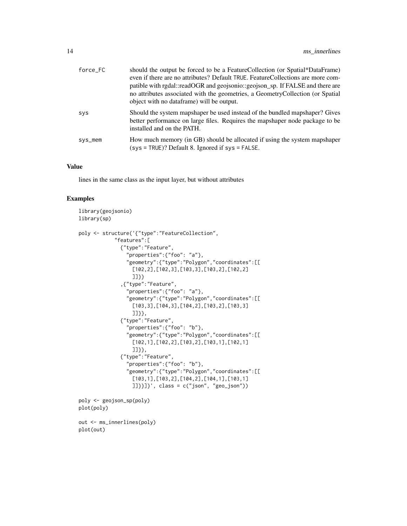| force FC | should the output be forced to be a Feature Collection (or Spatial*DataFrame)<br>even if there are no attributes? Default TRUE. Feature Collections are more com-<br>patible with rgdal::readOGR and geojsonio::geojson_sp. If FALSE and there are<br>no attributes associated with the geometries, a GeometryCollection (or Spatial<br>object with no dataframe) will be output. |
|----------|-----------------------------------------------------------------------------------------------------------------------------------------------------------------------------------------------------------------------------------------------------------------------------------------------------------------------------------------------------------------------------------|
| SVS      | Should the system mapshaper be used instead of the bundled mapshaper? Gives<br>better performance on large files. Requires the mapshaper node package to be<br>installed and on the PATH.                                                                                                                                                                                         |
| sys_mem  | How much memory (in GB) should be allocated if using the system mapshaper<br>$(sys = TRUE)$ ? Default 8. Ignored if sys = FALSE.                                                                                                                                                                                                                                                  |

#### Value

lines in the same class as the input layer, but without attributes

```
library(geojsonio)
library(sp)
poly <- structure('{"type":"FeatureCollection",
            "features":[
              {"type":"Feature",
                "properties":{"foo": "a"},
                "geometry":{"type":"Polygon","coordinates":[[
                  [102,2],[102,3],[103,3],[103,2],[102,2]
                  ]]}}
              ,{"type":"Feature",
                "properties":{"foo": "a"},
                "geometry":{"type":"Polygon","coordinates":[[
                  [103,3],[104,3],[104,2],[103,2],[103,3]
                  ]]}},
              {"type":"Feature",
                "properties":{"foo": "b"},
                "geometry":{"type":"Polygon","coordinates":[[
                  [102,1],[102,2],[103,2],[103,1],[102,1]
                  ]]}},
              {"type":"Feature",
                "properties":{"foo": "b"},
                "geometry":{"type":"Polygon","coordinates":[[
                  [103,1],[103,2],[104,2],[104,1],[103,1]
                  ]]}}]}', class = c("json", "geo_json"))
poly <- geojson_sp(poly)
plot(poly)
out <- ms_innerlines(poly)
plot(out)
```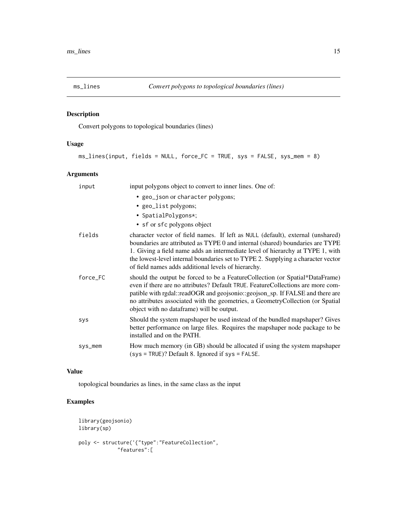<span id="page-14-1"></span><span id="page-14-0"></span>

#### Description

Convert polygons to topological boundaries (lines)

#### Usage

```
ms_lines(input, fields = NULL, force_FC = TRUE, sys = FALSE, sys_mem = 8)
```
#### Arguments

| input    | input polygons object to convert to inner lines. One of:                                                                                                                                                                                                                                                                                                                                      |
|----------|-----------------------------------------------------------------------------------------------------------------------------------------------------------------------------------------------------------------------------------------------------------------------------------------------------------------------------------------------------------------------------------------------|
|          | • geo_json or character polygons;                                                                                                                                                                                                                                                                                                                                                             |
|          | • geo_list polygons;                                                                                                                                                                                                                                                                                                                                                                          |
|          | • SpatialPolygons*;                                                                                                                                                                                                                                                                                                                                                                           |
|          | • sf or sfc polygons object                                                                                                                                                                                                                                                                                                                                                                   |
| fields   | character vector of field names. If left as NULL (default), external (unshared)<br>boundaries are attributed as TYPE 0 and internal (shared) boundaries are TYPE<br>1. Giving a field name adds an intermediate level of hierarchy at TYPE 1, with<br>the lowest-level internal boundaries set to TYPE 2. Supplying a character vector<br>of field names adds additional levels of hierarchy. |
| force_FC | should the output be forced to be a Feature Collection (or Spatial*DataFrame)<br>even if there are no attributes? Default TRUE. Feature Collections are more com-<br>patible with rgdal::readOGR and geojsonio::geojson_sp. If FALSE and there are<br>no attributes associated with the geometries, a GeometryCollection (or Spatial<br>object with no dataframe) will be output.             |
| sys      | Should the system mapshaper be used instead of the bundled mapshaper? Gives<br>better performance on large files. Requires the mapshaper node package to be<br>installed and on the PATH.                                                                                                                                                                                                     |
| sys_mem  | How much memory (in GB) should be allocated if using the system mapshaper<br>$(sys = TRUE)$ ? Default 8. Ignored if sys = FALSE.                                                                                                                                                                                                                                                              |

#### Value

topological boundaries as lines, in the same class as the input

```
library(geojsonio)
library(sp)
poly <- structure('{"type":"FeatureCollection",
             "features":[
```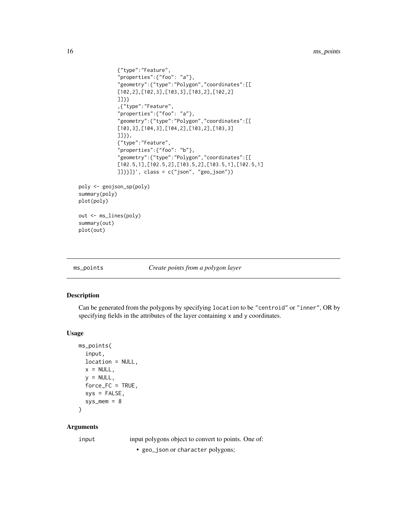```
{"type":"Feature",
             "properties":{"foo": "a"},
             "geometry":{"type":"Polygon","coordinates":[[
             [102,2],[102,3],[103,3],[103,2],[102,2]
             ]]}}
             ,{"type":"Feature",
             "properties":{"foo": "a"},
             "geometry":{"type":"Polygon","coordinates":[[
             [103,3],[104,3],[104,2],[103,2],[103,3]
             ]]}},
             {"type":"Feature",
             "properties":{"foo": "b"},
             "geometry":{"type":"Polygon","coordinates":[[
             [102.5,1],[102.5,2],[103.5,2],[103.5,1],[102.5,1]
             ]]}}]}', class = c("json", "geo_json"))
poly <- geojson_sp(poly)
summary(poly)
plot(poly)
out <- ms_lines(poly)
summary(out)
plot(out)
```
<span id="page-15-1"></span>

ms\_points *Create points from a polygon layer*

#### Description

Can be generated from the polygons by specifying location to be "centroid" or "inner", OR by specifying fields in the attributes of the layer containing x and y coordinates.

#### Usage

```
ms_points(
  input,
  location = NULL,
  x = NULL,y = NULL,force\_FC = TRUE,sys = FALSE,sys_mean = 8\mathcal{L}
```
#### Arguments

input input polygons object to convert to points. One of:

• geo\_json or character polygons;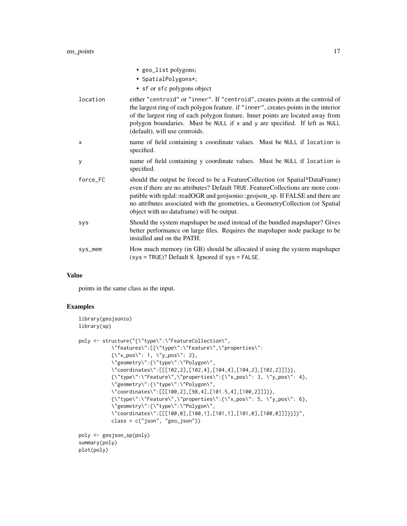|            | • geo_list polygons;<br>• SpatialPolygons*;                                                                                                                                                                                                                                                                                                                                      |
|------------|----------------------------------------------------------------------------------------------------------------------------------------------------------------------------------------------------------------------------------------------------------------------------------------------------------------------------------------------------------------------------------|
|            | • sf or sfc polygons object                                                                                                                                                                                                                                                                                                                                                      |
| location   | either "centroid" or "inner". If "centroid", creates points at the centroid of<br>the largest ring of each polygon feature. if "inner", creates points in the interior<br>of the largest ring of each polygon feature. Inner points are located away from<br>polygon boundaries. Must be NULL if x and y are specified. If left as NULL<br>(default), will use centroids.        |
| X          | name of field containing x coordinate values. Must be NULL if location is<br>specified.                                                                                                                                                                                                                                                                                          |
| у          | name of field containing y coordinate values. Must be NULL if location is<br>specified.                                                                                                                                                                                                                                                                                          |
| force_FC   | should the output be forced to be a FeatureCollection (or Spatial*DataFrame)<br>even if there are no attributes? Default TRUE. Feature Collections are more com-<br>patible with rgdal::readOGR and geojsonio::geojson_sp. If FALSE and there are<br>no attributes associated with the geometries, a GeometryCollection (or Spatial<br>object with no dataframe) will be output. |
| <b>SYS</b> | Should the system mapshaper be used instead of the bundled mapshaper? Gives<br>better performance on large files. Requires the mapshaper node package to be<br>installed and on the PATH.                                                                                                                                                                                        |
| sys_mem    | How much memory (in GB) should be allocated if using the system mapshaper<br>$(sys = TRUE)$ ? Default 8. Ignored if $sys = FALSE$ .                                                                                                                                                                                                                                              |

#### Value

points in the same class as the input.

```
library(geojsonio)
library(sp)
poly <- structure("{\"type\":\"FeatureCollection\",
            \"features\":[{\"type\":\"Feature\",\"properties\":
            {\{\x^{n}x\_pos\}' : 1, \ \y\_pos\}' : 2},\"geometry\":{\"type\":\"Polygon\",
            \"coordinates\":[[[102,2],[102,4],[104,4],[104,2],[102,2]]]}},
            {\{\Upsilon^*type\Upsilon:\Upsilon^*Feature\Upsilon, \Upsilon^*properties\Upsilon:}{\Upsilon^*x\_pos\Upsilon: 3, \Upsilon^*y\_pos\Upsilon: 4},\"geometry\":{\"type\":\"Polygon\",
            \"coordinates\":[[[100,2],[98,4],[101.5,4],[100,2]]]}},
            {\\Psi":\"Feature\",\"properties\":{\Psi}'x_pos\": 5, \"y_pos\": 6},
            \"geometry\":{\"type\":\"Polygon\",
            \"coordinates\":[[[100,0],[100,1],[101,1],[101,0],[100,0]]]}}]}",
            class = c("json", "geo_json"))
poly <- geojson_sp(poly)
summary(poly)
plot(poly)
```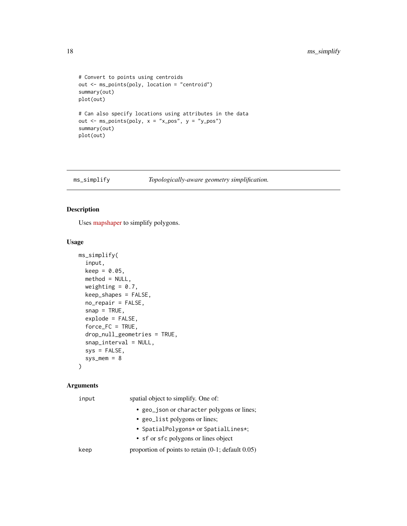```
# Convert to points using centroids
out <- ms_points(poly, location = "centroid")
summary(out)
plot(out)
# Can also specify locations using attributes in the data
out \leq ms_points(poly, x = "x_pos", y = "y_pos")summary(out)
plot(out)
```
<span id="page-17-1"></span>ms\_simplify *Topologically-aware geometry simplification.*

#### Description

Uses [mapshaper](https://github.com/mbloch/mapshaper) to simplify polygons.

#### Usage

```
ms_simplify(
  input,
 keep = 0.05,method = NULL,weighting = 0.7,
  keep_shapes = FALSE,
 no_repair = FALSE,
  snap = TRUE,explode = FALSE,
  force\_FC = TRUE,drop_null_geometries = TRUE,
  snap_interval = NULL,
  sys = FALSE,
  sys_mean = 8\lambda
```
#### Arguments

| input | spatial object to simplify. One of:                       |
|-------|-----------------------------------------------------------|
|       | • geo_json or character polygons or lines;                |
|       | • geo_list polygons or lines;                             |
|       | • SpatialPolygons* or SpatialLines*;                      |
|       | • sf or sfc polygons or lines object                      |
| keep  | proportion of points to retain $(0-1)$ ; default $(0.05)$ |
|       |                                                           |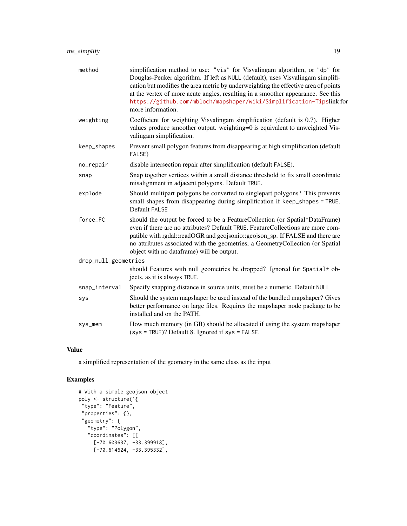| method               | simplification method to use: "vis" for Visvalingam algorithm, or "dp" for<br>Douglas-Peuker algorithm. If left as NULL (default), uses Visvalingam simplifi-<br>cation but modifies the area metric by underweighting the effective area of points<br>at the vertex of more acute angles, resulting in a smoother appearance. See this<br>https://github.com/mbloch/mapshaper/wiki/Simplification-Tipslink for<br>more information. |  |  |  |
|----------------------|--------------------------------------------------------------------------------------------------------------------------------------------------------------------------------------------------------------------------------------------------------------------------------------------------------------------------------------------------------------------------------------------------------------------------------------|--|--|--|
| weighting            | Coefficient for weighting Visvalingam simplification (default is 0.7). Higher<br>values produce smoother output. weighting=0 is equivalent to unweighted Vis-<br>valingam simplification.                                                                                                                                                                                                                                            |  |  |  |
| keep_shapes          | Prevent small polygon features from disappearing at high simplification (default<br>FALSE)                                                                                                                                                                                                                                                                                                                                           |  |  |  |
| no_repair            | disable intersection repair after simplification (default FALSE).                                                                                                                                                                                                                                                                                                                                                                    |  |  |  |
| snap                 | Snap together vertices within a small distance threshold to fix small coordinate<br>misalignment in adjacent polygons. Default TRUE.                                                                                                                                                                                                                                                                                                 |  |  |  |
| explode              | Should multipart polygons be converted to singlepart polygons? This prevents<br>small shapes from disappearing during simplification if keep_shapes = TRUE.<br>Default FALSE                                                                                                                                                                                                                                                         |  |  |  |
| force_FC             | should the output be forced to be a FeatureCollection (or Spatial*DataFrame)<br>even if there are no attributes? Default TRUE. FeatureCollections are more com-<br>patible with rgdal::readOGR and geojsonio::geojson_sp. If FALSE and there are<br>no attributes associated with the geometries, a GeometryCollection (or Spatial<br>object with no dataframe) will be output.                                                      |  |  |  |
| drop_null_geometries |                                                                                                                                                                                                                                                                                                                                                                                                                                      |  |  |  |
|                      | should Features with null geometries be dropped? Ignored for Spatial* ob-<br>jects, as it is always TRUE.                                                                                                                                                                                                                                                                                                                            |  |  |  |
| snap_interval        | Specify snapping distance in source units, must be a numeric. Default NULL                                                                                                                                                                                                                                                                                                                                                           |  |  |  |
| sys                  | Should the system mapshaper be used instead of the bundled mapshaper? Gives<br>better performance on large files. Requires the mapshaper node package to be<br>installed and on the PATH.                                                                                                                                                                                                                                            |  |  |  |
| sys_mem              | How much memory (in GB) should be allocated if using the system mapshaper<br>$(sys = TRUE)$ ? Default 8. Ignored if $sys = FALSE$ .                                                                                                                                                                                                                                                                                                  |  |  |  |

#### Value

a simplified representation of the geometry in the same class as the input

```
# With a simple geojson object
poly <- structure('{
"type": "Feature",
 "properties": {},
 "geometry": {
   "type": "Polygon",
   "coordinates": [[
     [-70.603637, -33.399918],
     [-70.614624, -33.395332],
```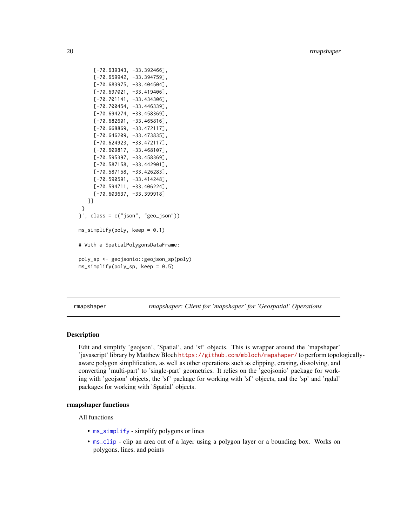```
[-70.639343, -33.392466],
     [-70.659942, -33.394759],
     [-70.683975, -33.404504],
     [-70.697021, -33.419406],
     [-70.701141, -33.434306],
     [-70.700454, -33.446339],
     [-70.694274, -33.458369],
     [-70.682601, -33.465816],
     [-70.668869, -33.472117],
     [-70.646209, -33.473835],
     [-70.624923, -33.472117],
     [-70.609817, -33.468107],
     [-70.595397, -33.458369],
     [-70.587158, -33.442901],
     [-70.587158, -33.426283],
     [-70.590591, -33.414248],
     [-70.594711, -33.406224],
     [-70.603637, -33.399918]
   ]]
 }
}', class = c("json", "geo_json"))
ms\_simply(poly, keep = 0.1)# With a SpatialPolygonsDataFrame:
poly_sp <- geojsonio::geojson_sp(poly)
ms_simplify(poly_sp, keep = 0.5)
```
rmapshaper *rmapshaper: Client for 'mapshaper' for 'Geospatial' Operations*

#### Description

Edit and simplify 'geojson', 'Spatial', and 'sf' objects. This is wrapper around the 'mapshaper' 'javascript' library by Matthew Bloch <https://github.com/mbloch/mapshaper/> to perform topologicallyaware polygon simplification, as well as other operations such as clipping, erasing, dissolving, and converting 'multi-part' to 'single-part' geometries. It relies on the 'geojsonio' package for working with 'geojson' objects, the 'sf' package for working with 'sf' objects, and the 'sp' and 'rgdal' packages for working with 'Spatial' objects.

#### rmapshaper functions

All functions

- [ms\\_simplify](#page-17-1) simplify polygons or lines
- [ms\\_clip](#page-3-1) clip an area out of a layer using a polygon layer or a bounding box. Works on polygons, lines, and points

<span id="page-19-0"></span>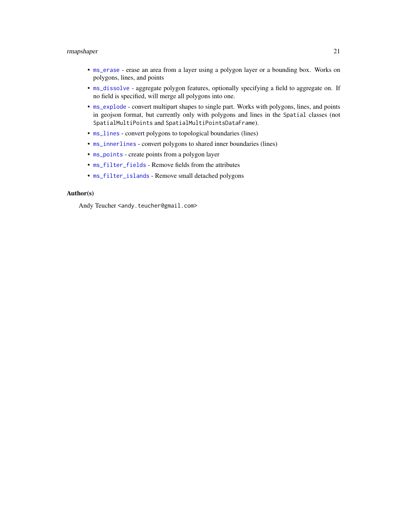#### <span id="page-20-0"></span>rmapshaper 21

- [ms\\_erase](#page-6-1) erase an area from a layer using a polygon layer or a bounding box. Works on polygons, lines, and points
- [ms\\_dissolve](#page-4-1) aggregate polygon features, optionally specifying a field to aggregate on. If no field is specified, will merge all polygons into one.
- [ms\\_explode](#page-8-1) convert multipart shapes to single part. Works with polygons, lines, and points in geojson format, but currently only with polygons and lines in the Spatial classes (not SpatialMultiPoints and SpatialMultiPointsDataFrame).
- $ms_$ lines convert polygons to topological boundaries (lines)
- [ms\\_innerlines](#page-12-1) convert polygons to shared inner boundaries (lines)
- [ms\\_points](#page-15-1) create points from a polygon layer
- [ms\\_filter\\_fields](#page-10-1) Remove fields from the attributes
- [ms\\_filter\\_islands](#page-11-1) Remove small detached polygons

#### Author(s)

Andy Teucher <andy.teucher@gmail.com>